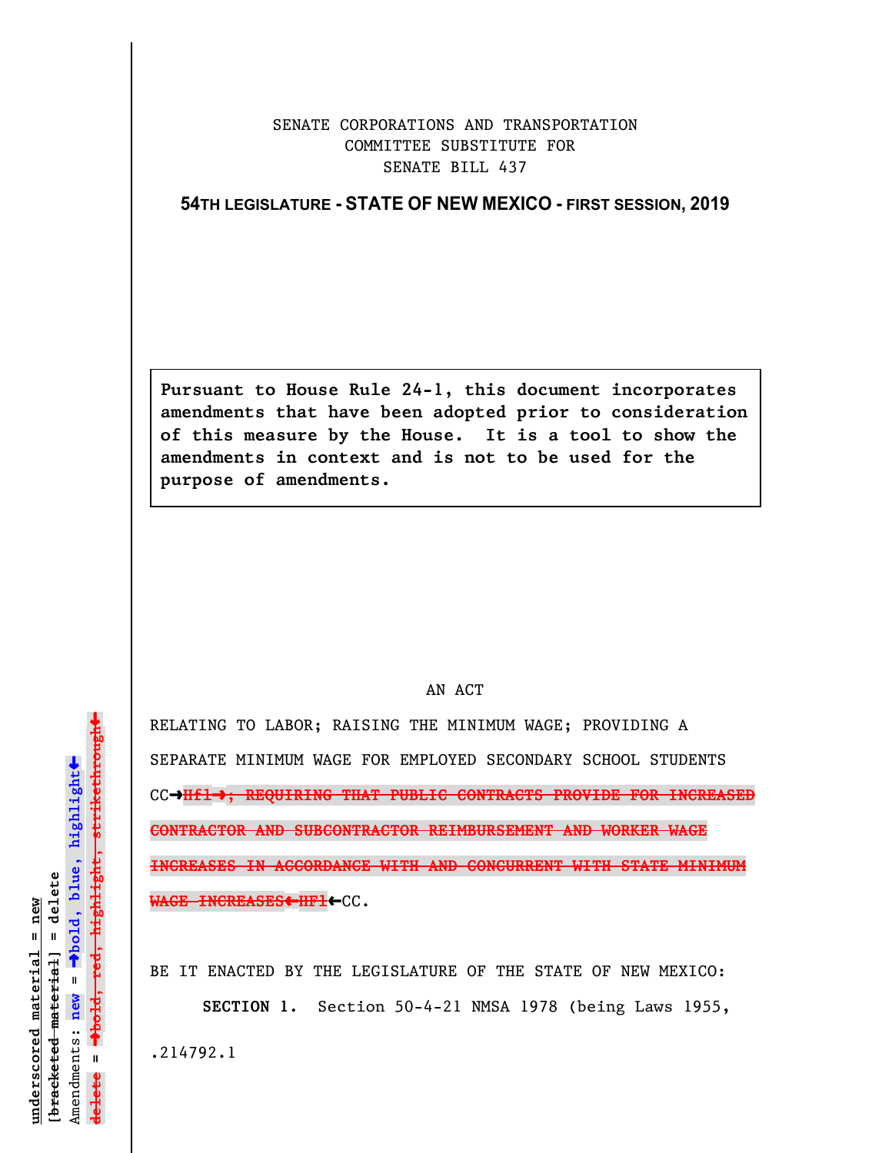## SENATE CORPORATIONS AND TRANSPORTATION COMMITTEE SUBSTITUTE FOR SENATE BILL 437

## **54TH LEGISLATURE - STATE OF NEW MEXICO - FIRST SESSION, 2019**

**Pursuant to House Rule 24-1, this document incorporates amendments that have been adopted prior to consideration of this measure by the House. It is a tool to show the amendments in context and is not to be used for the purpose of amendments.** 

## AN ACT

RELATING TO LABOR; RAISING THE MINIMUM WAGE; PROVIDING A SEPARATE MINIMUM WAGE FOR EMPLOYED SECONDARY SCHOOL STUDENTS CC→Hf1→; REQUIRING THAT PUBLIC CONTRACTS PROVIDE FOR INCREASED **CONTRACTOR AND SUBCONTRACTOR REIMBURSEMENT AND WORKER WAGE INCREASES IN ACCORDANCE WITH AND CONCURRENT WITH STATE MINIMUM WAGE INCREASES**»**HFl**»CC.

BE IT ENACTED BY THE LEGISLATURE OF THE STATE OF NEW MEXICO:

**SECTION 1.** Section 50-4-21 NMSA 1978 (being Laws 1955,

.214792.1

 $\ddag$ º**bold, red, highlight, strikethrough**  $\ddot{\bullet}$ º**bold, blue, highlight**  $[$ bracketed material] = delete **[bracketed material] = delete** inderscored material = new **underscored material = new** Amendments: **new** =  $\mathbf{I}$ **delete =** lelete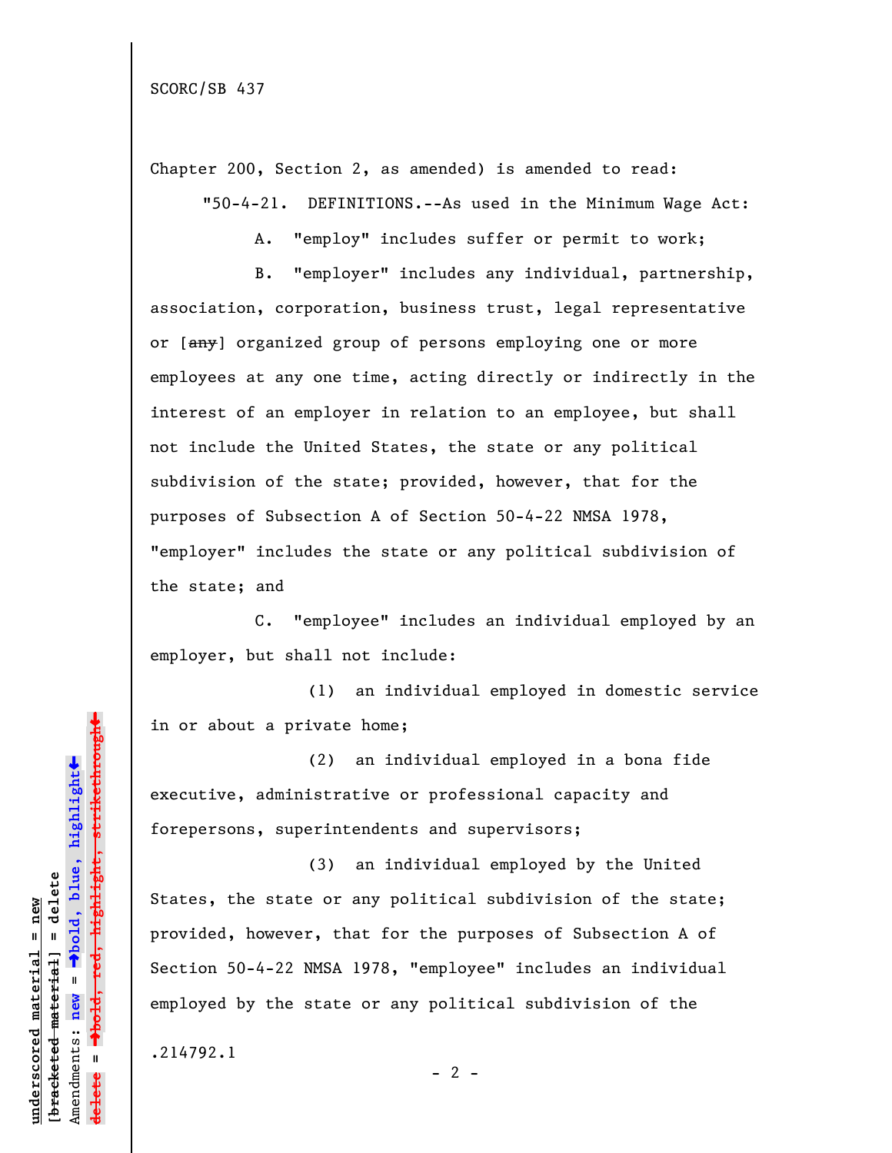Chapter 200, Section 2, as amended) is amended to read: "50-4-21. DEFINITIONS.--As used in the Minimum Wage Act:

A. "employ" includes suffer or permit to work;

B. "employer" includes any individual, partnership, association, corporation, business trust, legal representative or [any] organized group of persons employing one or more employees at any one time, acting directly or indirectly in the interest of an employer in relation to an employee, but shall not include the United States, the state or any political subdivision of the state; provided, however, that for the purposes of Subsection A of Section 50-4-22 NMSA 1978, "employer" includes the state or any political subdivision of the state; and

C. "employee" includes an individual employed by an employer, but shall not include:

(1) an individual employed in domestic service in or about a private home;

(2) an individual employed in a bona fide executive, administrative or professional capacity and forepersons, superintendents and supervisors;

(3) an individual employed by the United States, the state or any political subdivision of the state; provided, however, that for the purposes of Subsection A of Section 50-4-22 NMSA 1978, "employee" includes an individual employed by the state or any political subdivision of the

.214792.1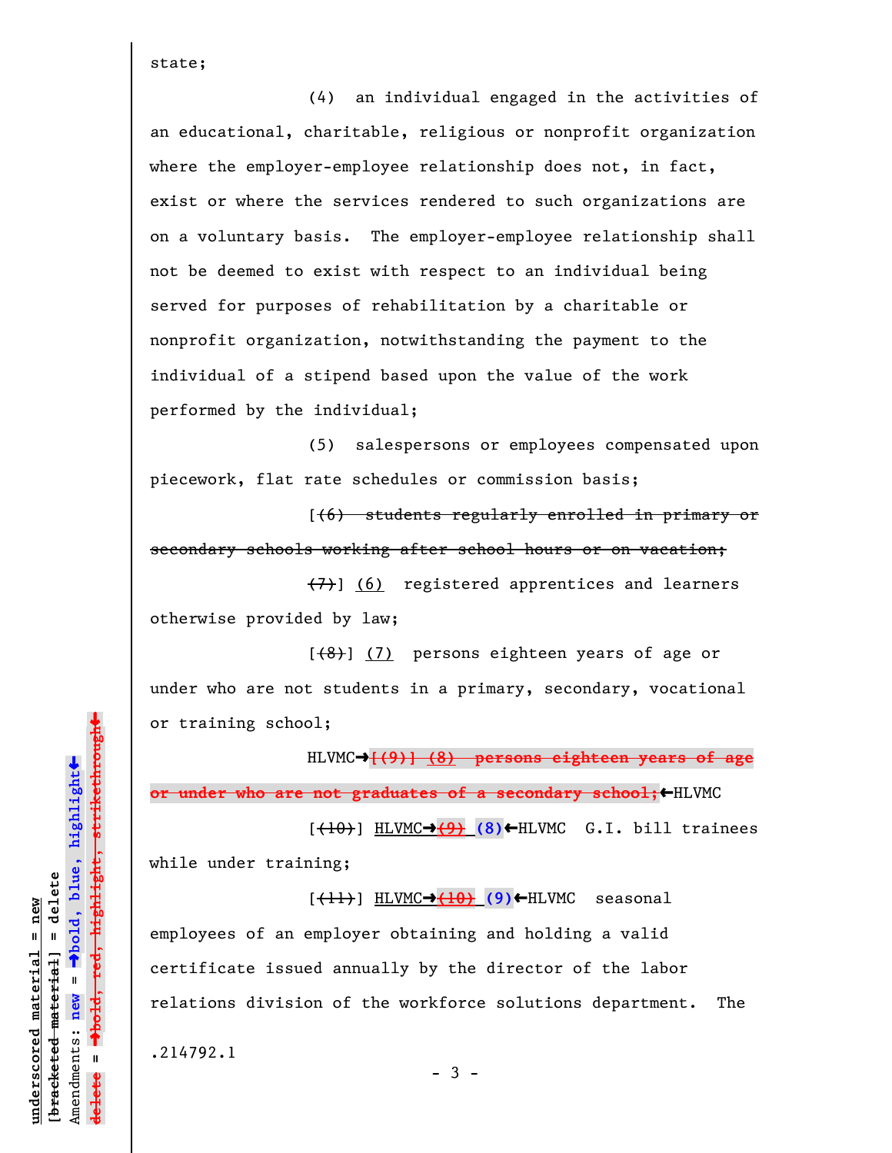state;

(4) an individual engaged in the activities of an educational, charitable, religious or nonprofit organization where the employer-employee relationship does not, in fact, exist or where the services rendered to such organizations are on a voluntary basis. The employer-employee relationship shall not be deemed to exist with respect to an individual being served for purposes of rehabilitation by a charitable or nonprofit organization, notwithstanding the payment to the individual of a stipend based upon the value of the work performed by the individual;

(5) salespersons or employees compensated upon piecework, flat rate schedules or commission basis;

[(6) students regularly enrolled in primary or secondary schools working after school hours or on vacation;

(7)] (6) registered apprentices and learners otherwise provided by law;

 $[$ (8)] (7) persons eighteen years of age or under who are not students in a primary, secondary, vocational or training school;

HLVMC<sup>+</sup>[(9)] (8) persons eighteen years of age **or under who are not graduates of a secondary school;**HILVMC

 $[$ ( $\overline{10}$ )] HLVMC $\rightarrow$ (9)  $(8)$   $\leftarrow$  HLVMC G.I. bill trainees while under training;

 $[\frac{1}{1}]$  HLVMC $\rightarrow$ (10)  $(9)$   $\leftarrow$  HLVMC seasonal employees of an employer obtaining and holding a valid certificate issued annually by the director of the labor relations division of the workforce solutions department. The

 $-3 -$ 

.214792.1

 $\ddag$ º**bold, red, highlight, strikethrough**  $\ddot{\bullet}$ º**bold, blue, highlight**  $b$ racketed material] = delete **[bracketed material] = delete** inderscored material = new **underscored material = new** Amendments: **new** =  $\bar{\mathbf{u}}$ Amendments: new  $\mathbf{u}$ **delete =** <del>ielete</del>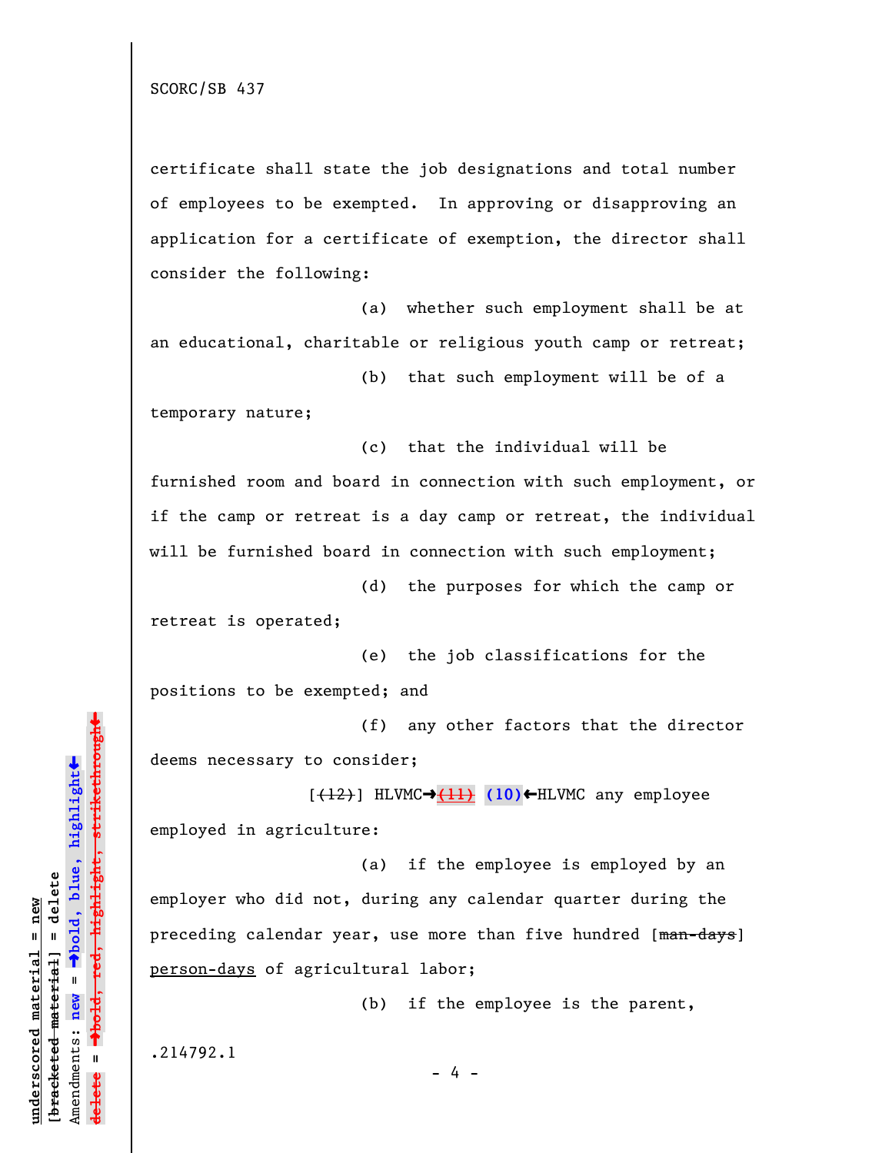certificate shall state the job designations and total number of employees to be exempted. In approving or disapproving an application for a certificate of exemption, the director shall consider the following:

(a) whether such employment shall be at an educational, charitable or religious youth camp or retreat;

(b) that such employment will be of a temporary nature;

(c) that the individual will be furnished room and board in connection with such employment, or if the camp or retreat is a day camp or retreat, the individual will be furnished board in connection with such employment;

(d) the purposes for which the camp or retreat is operated;

(e) the job classifications for the positions to be exempted; and

(f) any other factors that the director deems necessary to consider;

[(12)] HLVMCº**(11) (10)**»HLVMC any employee employed in agriculture:

(a) if the employee is employed by an employer who did not, during any calendar quarter during the preceding calendar year, use more than five hundred [man-days] person-days of agricultural labor;

(b) if the employee is the parent,

.214792.1

**underscored material = new [bracketed material] = delete**

 $b$ racketed material] = delete inderscored material = new

Amendments: **new** =

Amendments: new  $\mathbf{u}$ 

 $\bar{\mathbf{u}}$ 

**delete =**

º**bold, blue, highlight**

º**bold, red, highlight, strikethrough**

highlight, strikethrough

 $\ddot{\bullet}$ 

»

- 4 -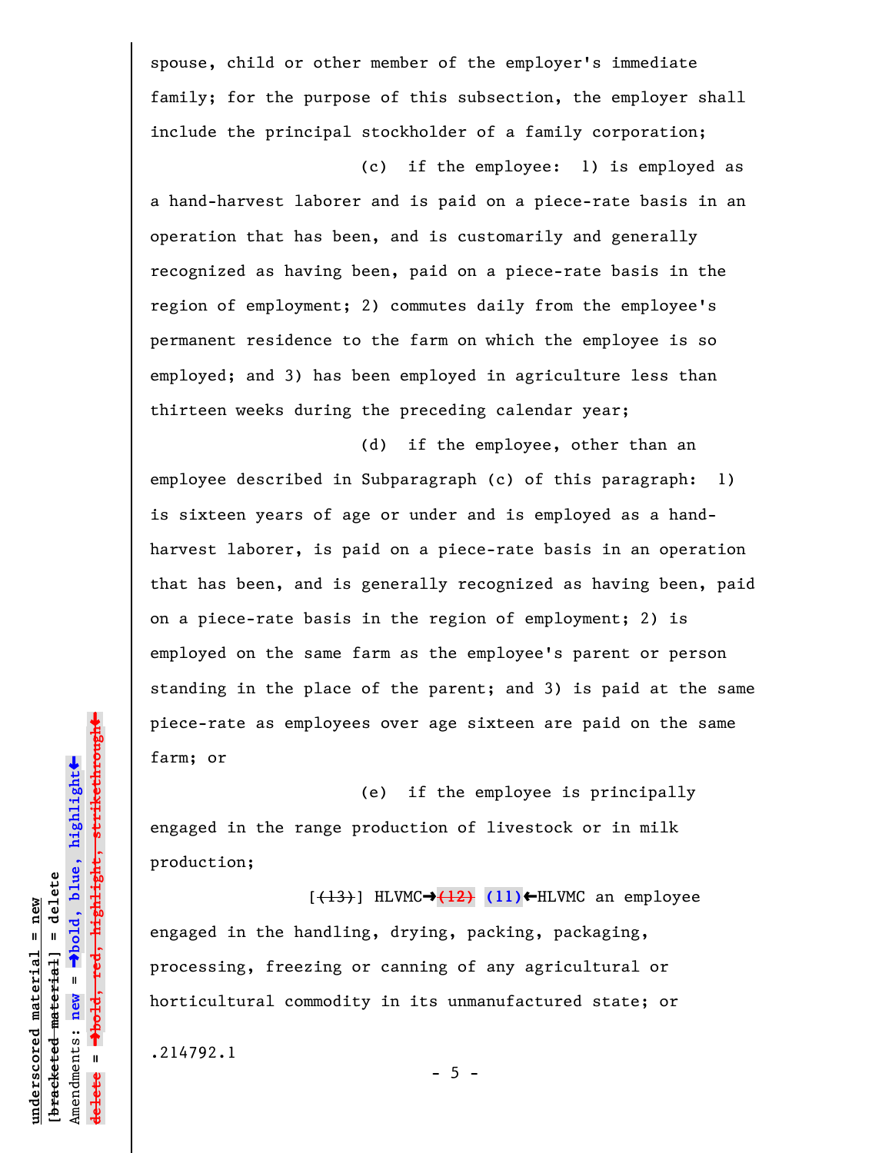spouse, child or other member of the employer's immediate family; for the purpose of this subsection, the employer shall include the principal stockholder of a family corporation;

(c) if the employee: 1) is employed as a hand-harvest laborer and is paid on a piece-rate basis in an operation that has been, and is customarily and generally recognized as having been, paid on a piece-rate basis in the region of employment; 2) commutes daily from the employee's permanent residence to the farm on which the employee is so employed; and 3) has been employed in agriculture less than thirteen weeks during the preceding calendar year;

(d) if the employee, other than an employee described in Subparagraph (c) of this paragraph: 1) is sixteen years of age or under and is employed as a handharvest laborer, is paid on a piece-rate basis in an operation that has been, and is generally recognized as having been, paid on a piece-rate basis in the region of employment; 2) is employed on the same farm as the employee's parent or person standing in the place of the parent; and 3) is paid at the same piece-rate as employees over age sixteen are paid on the same farm; or

(e) if the employee is principally engaged in the range production of livestock or in milk production;

 $[+13)$  HLVMC $\rightarrow$  $+12$ ) (11) $\leftarrow$ HLVMC an employee engaged in the handling, drying, packing, packaging, processing, freezing or canning of any agricultural or horticultural commodity in its unmanufactured state; or

 $- 5 -$ 

.214792.1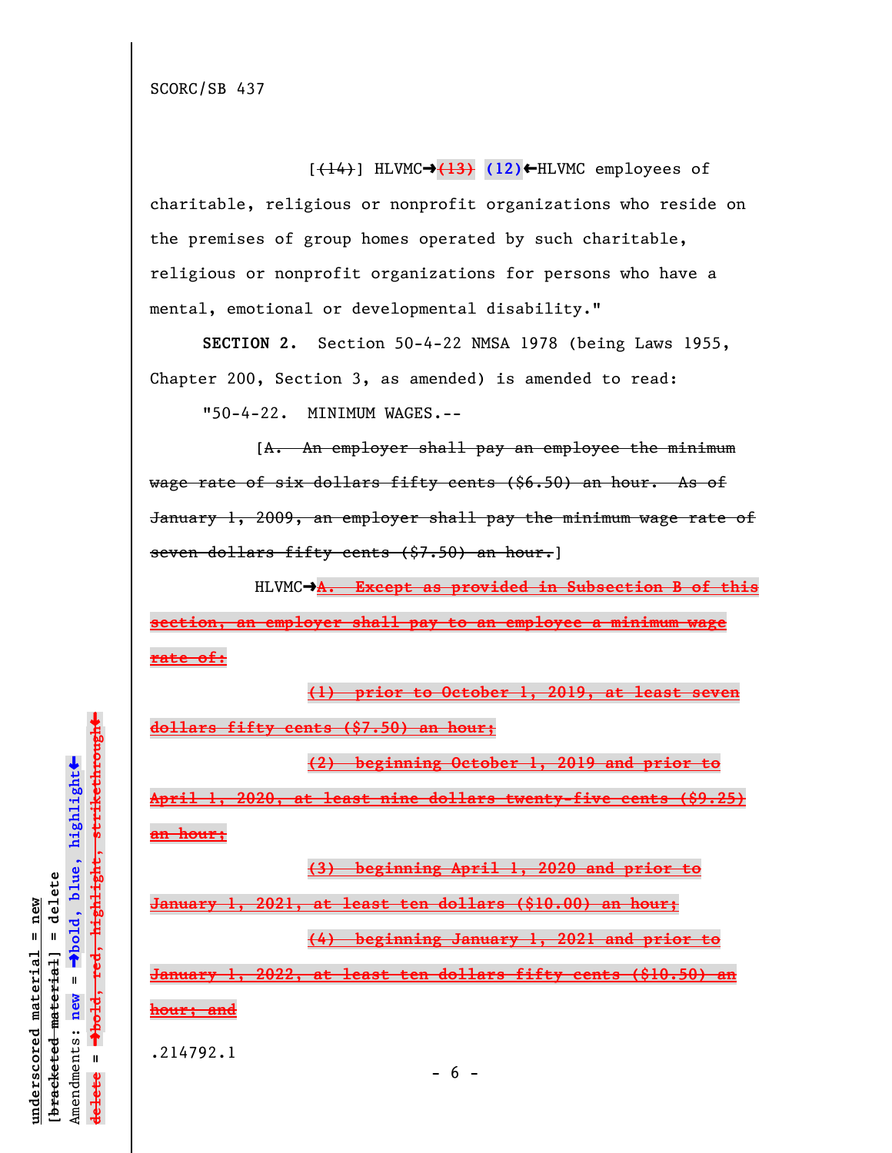$[\frac{(14)}{]}$  HLVMC $\rightarrow$ (13) (12)  $\leftarrow$  HLVMC employees of charitable, religious or nonprofit organizations who reside on the premises of group homes operated by such charitable, religious or nonprofit organizations for persons who have a mental, emotional or developmental disability."

**SECTION 2.** Section 50-4-22 NMSA 1978 (being Laws 1955, Chapter 200, Section 3, as amended) is amended to read:

"50-4-22. MINIMUM WAGES.--

[A. An employer shall pay an employee the minimum wage rate of six dollars fifty cents (\$6.50) an hour. As of January 1, 2009, an employer shall pay the minimum wage rate of seven dollars fifty cents (\$7.50) an hour.]

HLVMC $\rightarrow$ A. Except as provided in Subsection B of this **section, an employer shall pay to an employee a minimum wage rate of:**

**(1) prior to October 1, 2019, at least seven dollars fifty cents (\$7.50) an hour;**

**(2) beginning October 1, 2019 and prior to**

**April 1, 2020, at least nine dollars twenty-five cents (\$9.25) an hour;**

**(3) beginning April 1, 2020 and prior to**

**January 1, 2021, at least ten dollars (\$10.00) an hour;**

**(4) beginning January 1, 2021 and prior to**

**January 1, 2022, at least ten dollars fifty cents (\$10.50) an**

**hour; and**

.214792.1

º**bold, red, highlight, strikethrough**  $\ddot{\bullet}$ º**bold, blue, highlight**  $b$ racketed material] = delete **[bracketed material] = delete** inderscored material = new **underscored material = new** Amendments: **new** =  $\bar{\mathbf{u}}$ Amendments: new  $\mathbf{I}$ **delete =** lelete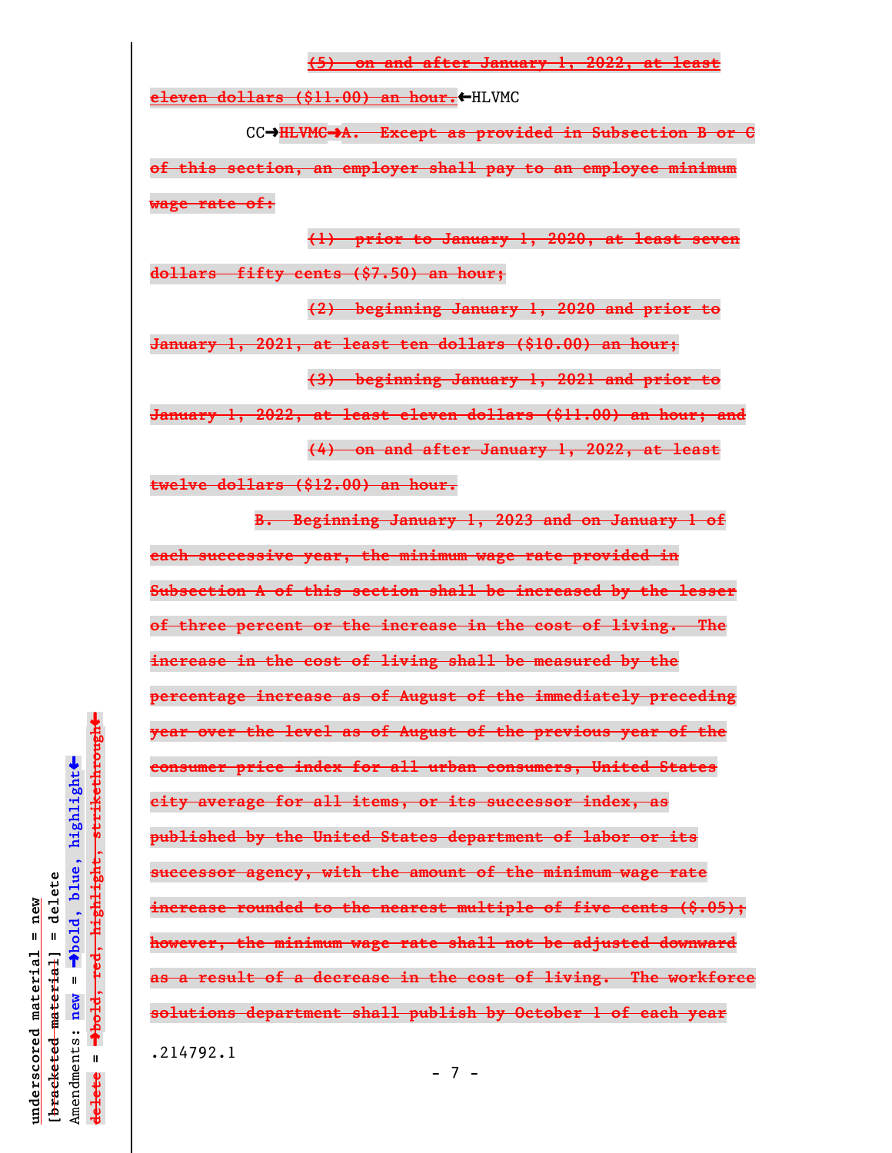**(5) on and after January 1, 2022, at least eleven dollars (\$11.00) an hour.**HLVMC CCº**HLVMC**º**A. Except as provided in Subsection B or C of this section, an employer shall pay to an employee minimum wage rate of: (1) prior to January 1, 2020, at least seven dollars fifty cents (\$7.50) an hour; (2) beginning January 1, 2020 and prior to January 1, 2021, at least ten dollars (\$10.00) an hour; (3) beginning January 1, 2021 and prior to January 1, 2022, at least eleven dollars (\$11.00) an hour; and (4) on and after January 1, 2022, at least twelve dollars (\$12.00) an hour. B. Beginning January 1, 2023 and on January 1 of each successive year, the minimum wage rate provided in Subsection A of this section shall be increased by the lesser of three percent or the increase in the cost of living. The increase in the cost of living shall be measured by the percentage increase as of August of the immediately preceding year over the level as of August of the previous year of the consumer price index for all urban consumers, United States city average for all items, or its successor index, as published by the United States department of labor or its successor agency, with the amount of the minimum wage rate increase rounded to the nearest multiple of five cents (\$.05); however, the minimum wage rate shall not be adjusted downward as a result of a decrease in the cost of living. The workforce solutions department shall publish by October 1 of each year** .214792.1

 $\ddag$ º**bold, red, highlight, strikethrough**  $\ddot{\bullet}$ º**bold, blue, highlight**  $b$ racketed material] = delete **[bracketed material] = delete** inderscored material = new **underscored material = new** Amendments: **new** =  $\bar{\mathbf{u}}$ Amendments: new  $\mathbf{u}$ **delete =** <del>lelete</del>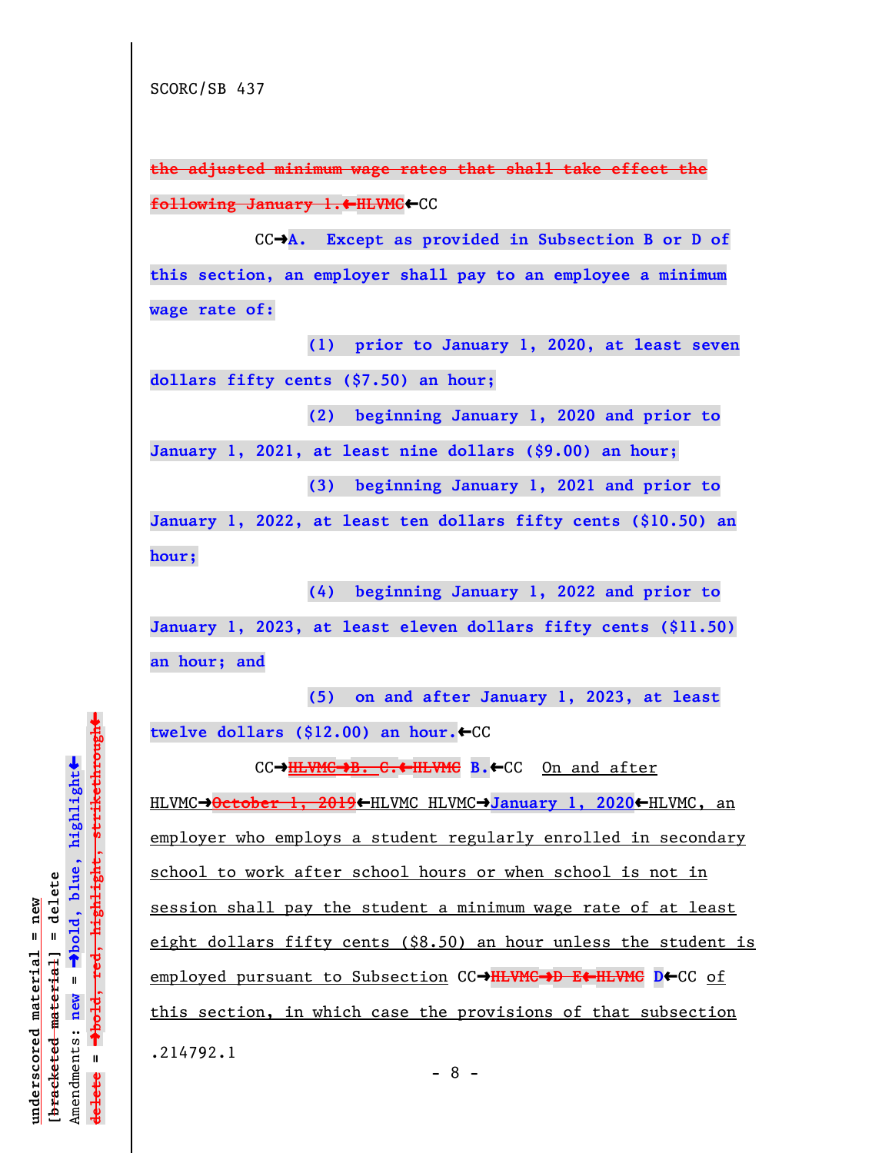**the adjusted minimum wage rates that shall take effect the following January 1.**»**HLVMC**»CC

CCº**A. Except as provided in Subsection B or D of this section, an employer shall pay to an employee a minimum wage rate of:**

**(1) prior to January 1, 2020, at least seven dollars fifty cents (\$7.50) an hour;**

**(2) beginning January 1, 2020 and prior to**

**January 1, 2021, at least nine dollars (\$9.00) an hour;**

**(3) beginning January 1, 2021 and prior to**

**January 1, 2022, at least ten dollars fifty cents (\$10.50) an hour;**

**(4) beginning January 1, 2022 and prior to January 1, 2023, at least eleven dollars fifty cents (\$11.50) an hour; and**

**(5) on and after January 1, 2023, at least** twelve dollars (\$12.00) an hour.←CC

CC→**HLVMC→B. C.←HLVMC B.←CC** On and after

HLVMC→October 1, 2019←HLVMC HLVMC→January 1, 2020←HLVMC, an employer who employs a student regularly enrolled in secondary school to work after school hours or when school is not in session shall pay the student a minimum wage rate of at least eight dollars fifty cents (\$8.50) an hour unless the student is employed pursuant to Subsection CCº**HLVMC**º**D E**»**HLVMC D**»CC of this section, in which case the provisions of that subsection .214792.1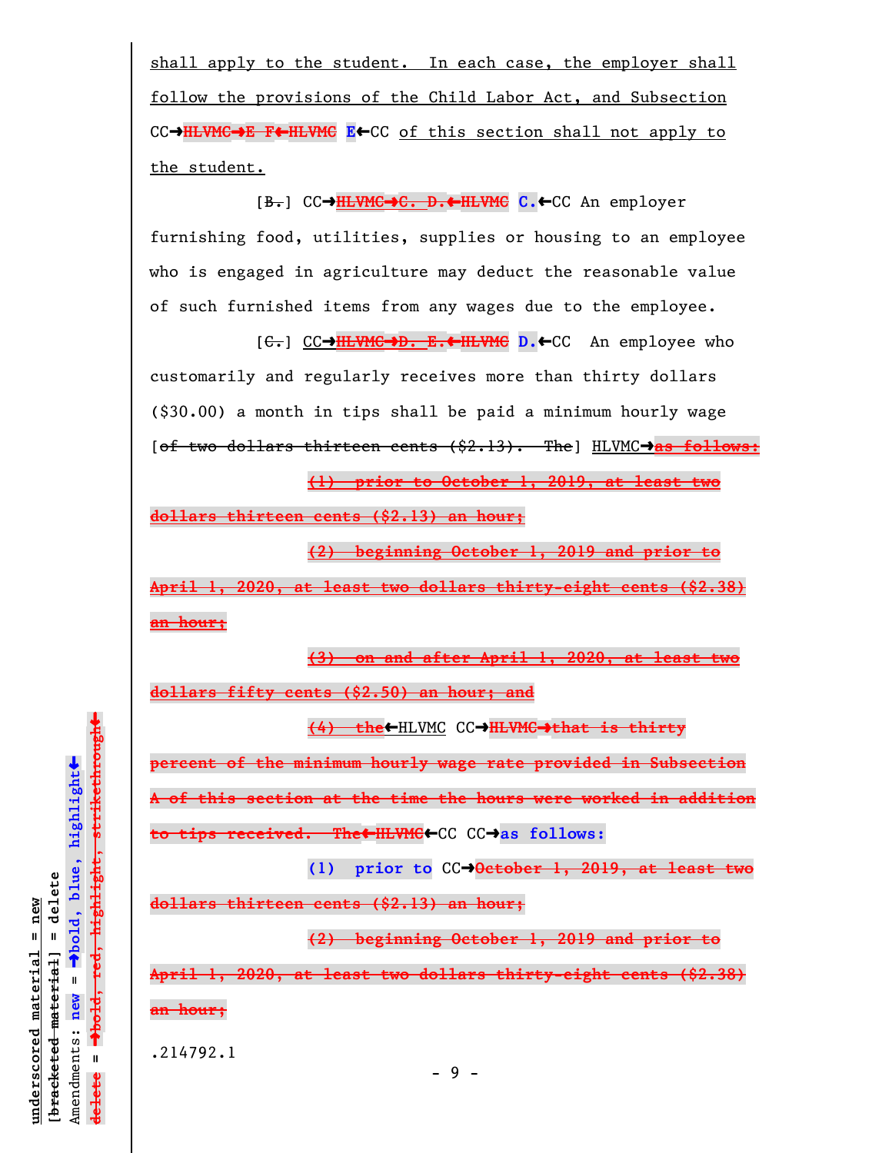shall apply to the student. In each case, the employer shall follow the provisions of the Child Labor Act, and Subsection CC→HLVMC→E F←HLVMC E←CC of this section shall not apply to the student.

[B.] CCº**HLVMC**º**C. D.**»**HLVMC C.**»CC An employer furnishing food, utilities, supplies or housing to an employee who is engaged in agriculture may deduct the reasonable value of such furnished items from any wages due to the employee.

[C.] CCº**HLVMC**º**D. E.**»**HLVMC D.**»CC An employee who customarily and regularly receives more than thirty dollars (\$30.00) a month in tips shall be paid a minimum hourly wage [of two dollars thirteen cents (\$2.13). The] HLVMCº**as follows:**

**(1) prior to October 1, 2019, at least two**

**dollars thirteen cents (\$2.13) an hour;**

**(2) beginning October 1, 2019 and prior to**

**April 1, 2020, at least two dollars thirty-eight cents (\$2.38) an hour;**

**(3) on and after April 1, 2020, at least two dollars fifty cents (\$2.50) an hour; and**

**(4) the←HLVMC CC→HLVMC→that is thirty** 

**percent of the minimum hourly wage rate provided in Subsection A of this section at the time the hours were worked in addition**

**to tips received. The←HLVMC←**CC CC→as follows:

**(1) prior to** CCº**October 1, 2019, at least two**

**dollars thirteen cents (\$2.13) an hour;**

**(2) beginning October 1, 2019 and prior to**

**April 1, 2020, at least two dollars thirty-eight cents (\$2.38) an hour;**

.214792.1

 $\ddag$ º**bold, red, highlight, strikethrough**  $\ddot{\bullet}$ º**bold, blue, highlight**  $[$ bracketed material] = delete **[bracketed material] = delete**  $anderscored material = new$ **underscored material = new** Amendments: **new** =  $\mathbf{I}$ Amendments: new  $\bar{\mathbf{H}}$ **delete =** <del>lelete</del>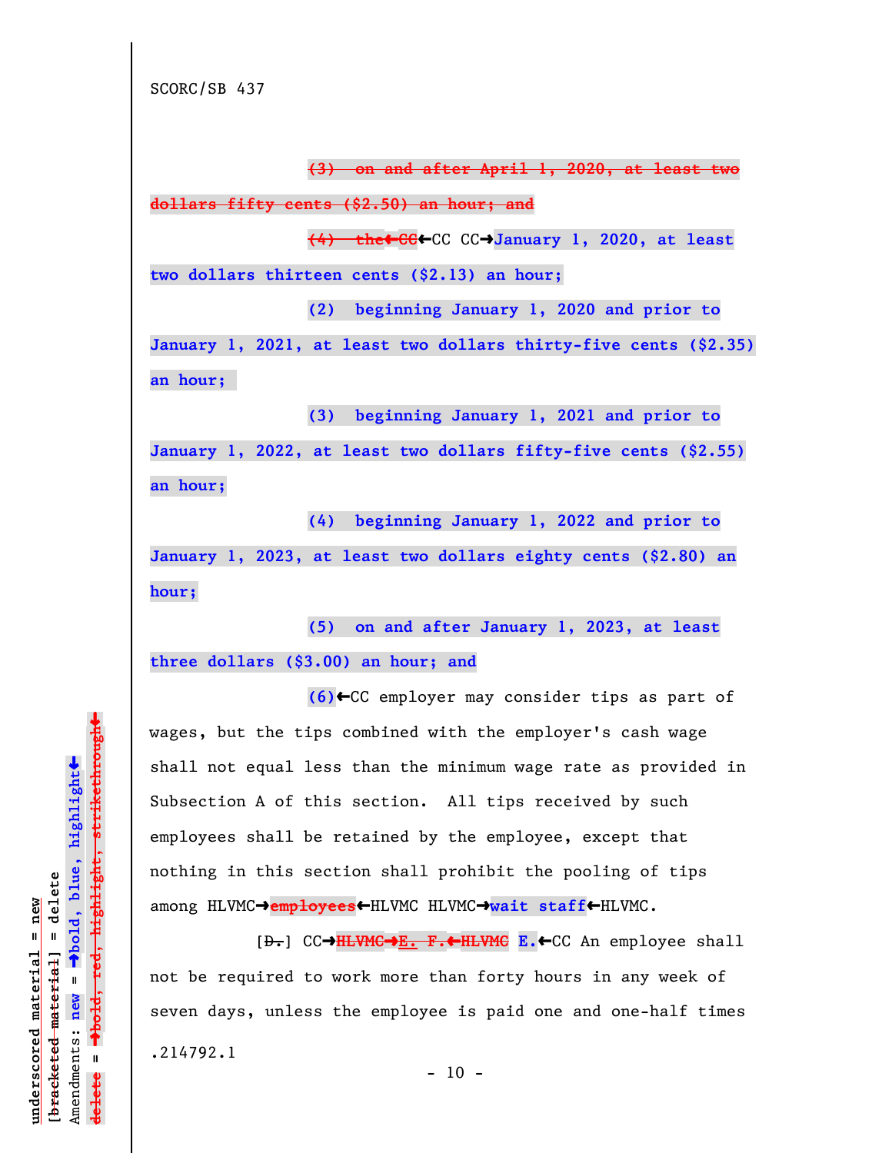**(3) on and after April 1, 2020, at least two**

**dollars fifty cents (\$2.50) an hour; and**

**(4) the**»**CC**»CC CCº**January 1, 2020, at least**

**two dollars thirteen cents (\$2.13) an hour;**

**(2) beginning January 1, 2020 and prior to**

**January 1, 2021, at least two dollars thirty-five cents (\$2.35) an hour;** 

**(3) beginning January 1, 2021 and prior to**

**January 1, 2022, at least two dollars fifty-five cents (\$2.55) an hour;**

**(4) beginning January 1, 2022 and prior to**

**January 1, 2023, at least two dollars eighty cents (\$2.80) an hour;**

**(5) on and after January 1, 2023, at least**

**three dollars (\$3.00) an hour; and**

**(6)**»CC employer may consider tips as part of wages, but the tips combined with the employer's cash wage shall not equal less than the minimum wage rate as provided in Subsection A of this section. All tips received by such employees shall be retained by the employee, except that nothing in this section shall prohibit the pooling of tips among HLVMC→employees←HLVMC HLVMC→wait staff←HLVMC.

[D.] CCº**HLVMC**º**E. F.**»**HLVMC E.**»CC An employee shall not be required to work more than forty hours in any week of seven days, unless the employee is paid one and one-half times .214792.1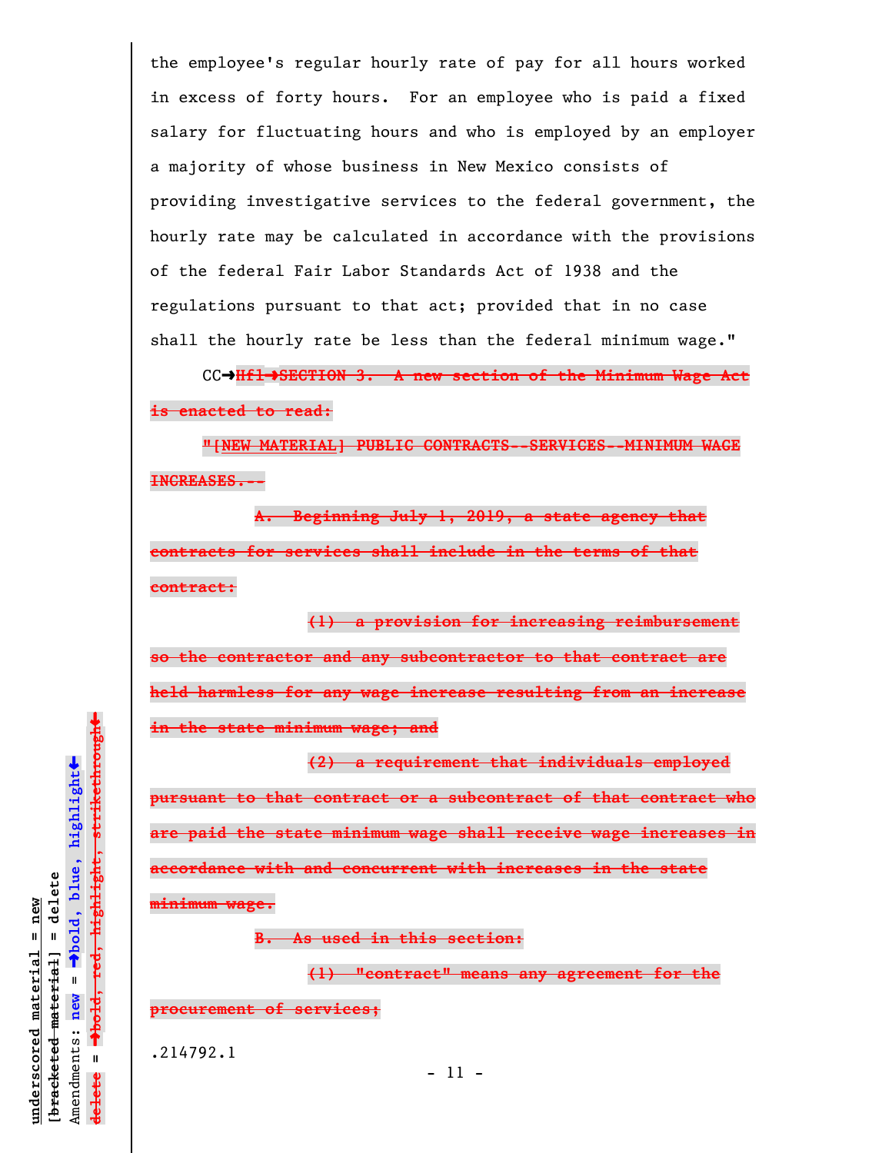the employee's regular hourly rate of pay for all hours worked in excess of forty hours. For an employee who is paid a fixed salary for fluctuating hours and who is employed by an employer a majority of whose business in New Mexico consists of providing investigative services to the federal government, the hourly rate may be calculated in accordance with the provisions of the federal Fair Labor Standards Act of 1938 and the regulations pursuant to that act; provided that in no case shall the hourly rate be less than the federal minimum wage."

CC→Hfl→SECTION 3. A new section of the Minimum Wage Act **is enacted to read:**

**"[NEW MATERIAL] PUBLIC CONTRACTS--SERVICES--MINIMUM WAGE INCREASES.--**

**A. Beginning July 1, 2019, a state agency that contracts for services shall include in the terms of that contract:**

**(1) a provision for increasing reimbursement so the contractor and any subcontractor to that contract are held harmless for any wage increase resulting from an increase in the state minimum wage; and**

**(2) a requirement that individuals employed pursuant to that contract or a subcontract of that contract who are paid the state minimum wage shall receive wage increases in accordance with and concurrent with increases in the state minimum wage.**

**B. As used in this section:**

**(1) "contract" means any agreement for the**

**procurement of services;**

.214792.1

**underscored material = new [bracketed material] = delete**

 $b$ racketed material] = delete inderscored material = new

Amendments: **new** =

Amendments: new

 $\mathbf{I}$ 

º**bold, blue, highlight**

 $\ddot{\bullet}$